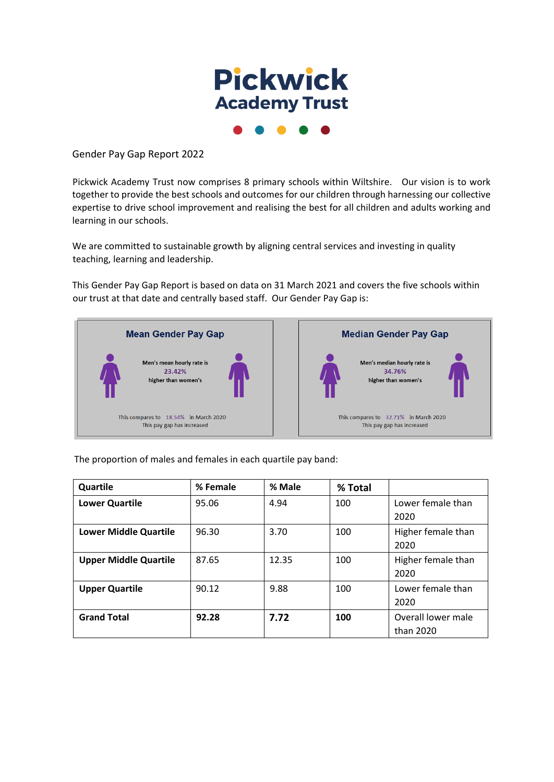

Gender Pay Gap Report 2022

Pickwick Academy Trust now comprises 8 primary schools within Wiltshire. Our vision is to work together to provide the best schools and outcomes for our children through harnessing our collective expertise to drive school improvement and realising the best for all children and adults working and learning in our schools.

We are committed to sustainable growth by aligning central services and investing in quality teaching, learning and leadership.

This Gender Pay Gap Report is based on data on 31 March 2021 and covers the five schools within our trust at that date and centrally based staff. Our Gender Pay Gap is:





The proportion of males and females in each quartile pay band:

| Quartile                     | % Female | % Male | % Total |                                 |
|------------------------------|----------|--------|---------|---------------------------------|
| <b>Lower Quartile</b>        | 95.06    | 4.94   | 100     | Lower female than<br>2020       |
| <b>Lower Middle Quartile</b> | 96.30    | 3.70   | 100     | Higher female than<br>2020      |
| <b>Upper Middle Quartile</b> | 87.65    | 12.35  | 100     | Higher female than<br>2020      |
| <b>Upper Quartile</b>        | 90.12    | 9.88   | 100     | Lower female than<br>2020       |
| <b>Grand Total</b>           | 92.28    | 7.72   | 100     | Overall lower male<br>than 2020 |